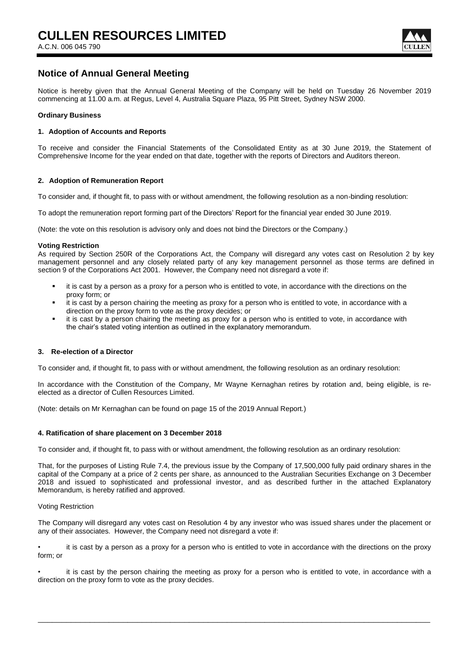

## **Notice of Annual General Meeting**

Notice is hereby given that the Annual General Meeting of the Company will be held on Tuesday 26 November 2019 commencing at 11.00 a.m. at Regus, Level 4, Australia Square Plaza, 95 Pitt Street, Sydney NSW 2000.

#### **Ordinary Business**

#### **1. Adoption of Accounts and Reports**

To receive and consider the Financial Statements of the Consolidated Entity as at 30 June 2019, the Statement of Comprehensive Income for the year ended on that date, together with the reports of Directors and Auditors thereon.

#### **2. Adoption of Remuneration Report**

To consider and, if thought fit, to pass with or without amendment, the following resolution as a non-binding resolution:

To adopt the remuneration report forming part of the Directors' Report for the financial year ended 30 June 2019.

(Note: the vote on this resolution is advisory only and does not bind the Directors or the Company.)

#### **Voting Restriction**

As required by Section 250R of the Corporations Act, the Company will disregard any votes cast on Resolution 2 by key management personnel and any closely related party of any key management personnel as those terms are defined in section 9 of the Corporations Act 2001. However, the Company need not disregard a vote if:

- it is cast by a person as a proxy for a person who is entitled to vote, in accordance with the directions on the proxy form; or
- it is cast by a person chairing the meeting as proxy for a person who is entitled to vote, in accordance with a direction on the proxy form to vote as the proxy decides; or
- it is cast by a person chairing the meeting as proxy for a person who is entitled to vote, in accordance with the chair's stated voting intention as outlined in the explanatory memorandum.

#### **3. Re-election of a Director**

To consider and, if thought fit, to pass with or without amendment, the following resolution as an ordinary resolution:

In accordance with the Constitution of the Company, Mr Wayne Kernaghan retires by rotation and, being eligible, is reelected as a director of Cullen Resources Limited.

(Note: details on Mr Kernaghan can be found on page 15 of the 2019 Annual Report.)

#### **4. Ratification of share placement on 3 December 2018**

To consider and, if thought fit, to pass with or without amendment, the following resolution as an ordinary resolution:

That, for the purposes of Listing Rule 7.4, the previous issue by the Company of 17,500,000 fully paid ordinary shares in the capital of the Company at a price of 2 cents per share, as announced to the Australian Securities Exchange on 3 December 2018 and issued to sophisticated and professional investor, and as described further in the attached Explanatory Memorandum, is hereby ratified and approved.

#### Voting Restriction

The Company will disregard any votes cast on Resolution 4 by any investor who was issued shares under the placement or any of their associates. However, the Company need not disregard a vote if:

it is cast by a person as a proxy for a person who is entitled to vote in accordance with the directions on the proxy form; or

it is cast by the person chairing the meeting as proxy for a person who is entitled to vote, in accordance with a direction on the proxy form to vote as the proxy decides.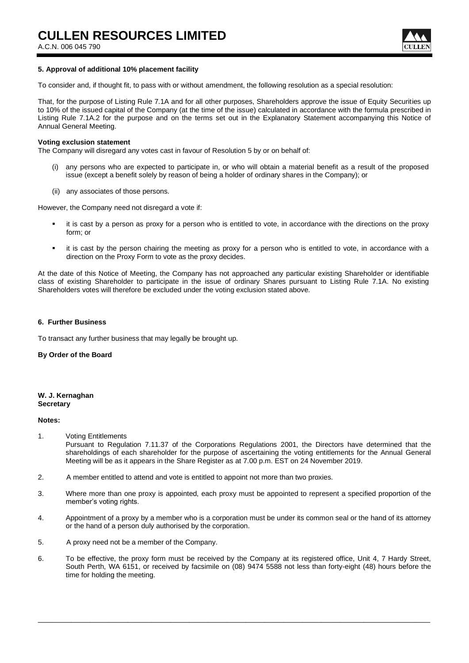A.C.N. 006 045 790



#### **5. Approval of additional 10% placement facility**

To consider and, if thought fit, to pass with or without amendment, the following resolution as a special resolution:

That, for the purpose of Listing Rule 7.1A and for all other purposes, Shareholders approve the issue of Equity Securities up to 10% of the issued capital of the Company (at the time of the issue) calculated in accordance with the formula prescribed in Listing Rule 7.1A.2 for the purpose and on the terms set out in the Explanatory Statement accompanying this Notice of Annual General Meeting.

#### **Voting exclusion statement**

The Company will disregard any votes cast in favour of Resolution 5 by or on behalf of:

- (i) any persons who are expected to participate in, or who will obtain a material benefit as a result of the proposed issue (except a benefit solely by reason of being a holder of ordinary shares in the Company); or
- (ii) any associates of those persons.

However, the Company need not disregard a vote if:

- it is cast by a person as proxy for a person who is entitled to vote, in accordance with the directions on the proxy form; or
- it is cast by the person chairing the meeting as proxy for a person who is entitled to vote, in accordance with a direction on the Proxy Form to vote as the proxy decides.

At the date of this Notice of Meeting, the Company has not approached any particular existing Shareholder or identifiable class of existing Shareholder to participate in the issue of ordinary Shares pursuant to Listing Rule 7.1A. No existing Shareholders votes will therefore be excluded under the voting exclusion stated above.

#### **6. Further Business**

To transact any further business that may legally be brought up.

#### **By Order of the Board**

#### **W. J. Kernaghan Secretary**

#### **Notes:**

1. Voting Entitlements

Pursuant to Regulation 7.11.37 of the Corporations Regulations 2001, the Directors have determined that the shareholdings of each shareholder for the purpose of ascertaining the voting entitlements for the Annual General Meeting will be as it appears in the Share Register as at 7.00 p.m. EST on 24 November 2019.

- 2. A member entitled to attend and vote is entitled to appoint not more than two proxies.
- 3. Where more than one proxy is appointed, each proxy must be appointed to represent a specified proportion of the member's voting rights.
- 4. Appointment of a proxy by a member who is a corporation must be under its common seal or the hand of its attorney or the hand of a person duly authorised by the corporation.
- 5. A proxy need not be a member of the Company.
- 6. To be effective, the proxy form must be received by the Company at its registered office, Unit 4, 7 Hardy Street, South Perth, WA 6151, or received by facsimile on (08) 9474 5588 not less than forty-eight (48) hours before the time for holding the meeting.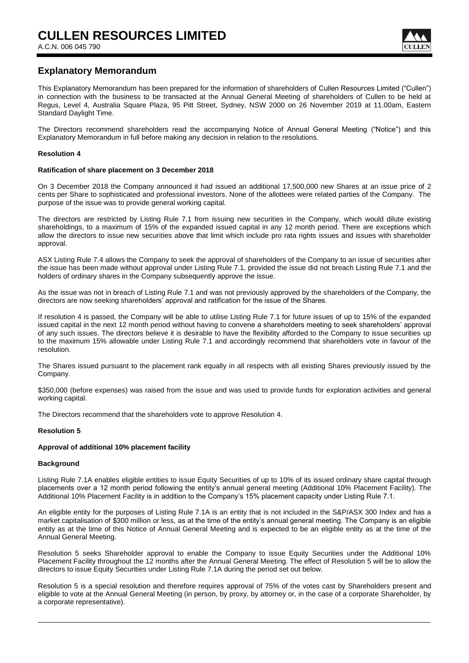

## **Explanatory Memorandum**

This Explanatory Memorandum has been prepared for the information of shareholders of Cullen Resources Limited ("Cullen") in connection with the business to be transacted at the Annual General Meeting of shareholders of Cullen to be held at Regus, Level 4, Australia Square Plaza, 95 Pitt Street, Sydney, NSW 2000 on 26 November 2019 at 11.00am, Eastern Standard Daylight Time.

The Directors recommend shareholders read the accompanying Notice of Annual General Meeting ("Notice") and this Explanatory Memorandum in full before making any decision in relation to the resolutions.

#### **Resolution 4**

#### **Ratification of share placement on 3 December 2018**

On 3 December 2018 the Company announced it had issued an additional 17,500,000 new Shares at an issue price of 2 cents per Share to sophisticated and professional investors. None of the allottees were related parties of the Company. The purpose of the issue was to provide general working capital.

The directors are restricted by Listing Rule 7.1 from issuing new securities in the Company, which would dilute existing shareholdings, to a maximum of 15% of the expanded issued capital in any 12 month period. There are exceptions which allow the directors to issue new securities above that limit which include pro rata rights issues and issues with shareholder approval.

ASX Listing Rule 7.4 allows the Company to seek the approval of shareholders of the Company to an issue of securities after the issue has been made without approval under Listing Rule 7.1, provided the issue did not breach Listing Rule 7.1 and the holders of ordinary shares in the Company subsequently approve the issue.

As the issue was not in breach of Listing Rule 7.1 and was not previously approved by the shareholders of the Company, the directors are now seeking shareholders' approval and ratification for the issue of the Shares.

If resolution 4 is passed, the Company will be able to utilise Listing Rule 7.1 for future issues of up to 15% of the expanded issued capital in the next 12 month period without having to convene a shareholders meeting to seek shareholders' approval of any such issues. The directors believe it is desirable to have the flexibility afforded to the Company to issue securities up to the maximum 15% allowable under Listing Rule 7.1 and accordingly recommend that shareholders vote in favour of the resolution.

The Shares issued pursuant to the placement rank equally in all respects with all existing Shares previously issued by the Company.

\$350,000 (before expenses) was raised from the issue and was used to provide funds for exploration activities and general working capital.

The Directors recommend that the shareholders vote to approve Resolution 4.

#### **Resolution 5**

#### **Approval of additional 10% placement facility**

#### **Background**

Listing Rule 7.1A enables eligible entities to issue Equity Securities of up to 10% of its issued ordinary share capital through placements over a 12 month period following the entity's annual general meeting (Additional 10% Placement Facility). The Additional 10% Placement Facility is in addition to the Company's 15% placement capacity under Listing Rule 7.1.

An eligible entity for the purposes of Listing Rule 7.1A is an entity that is not included in the S&P/ASX 300 Index and has a market capitalisation of \$300 million or less, as at the time of the entity's annual general meeting. The Company is an eligible entity as at the time of this Notice of Annual General Meeting and is expected to be an eligible entity as at the time of the Annual General Meeting.

Resolution 5 seeks Shareholder approval to enable the Company to issue Equity Securities under the Additional 10% Placement Facility throughout the 12 months after the Annual General Meeting. The effect of Resolution 5 will be to allow the directors to issue Equity Securities under Listing Rule 7.1A during the period set out below.

Resolution 5 is a special resolution and therefore requires approval of 75% of the votes cast by Shareholders present and eligible to vote at the Annual General Meeting (in person, by proxy, by attorney or, in the case of a corporate Shareholder, by a corporate representative).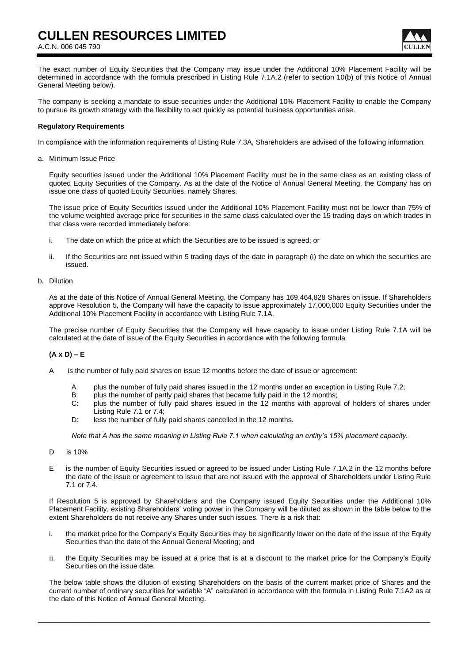## **CULLEN RESOURCES LIMITED**

A.C.N. 006 045 790



The exact number of Equity Securities that the Company may issue under the Additional 10% Placement Facility will be determined in accordance with the formula prescribed in Listing Rule 7.1A.2 (refer to section 10(b) of this Notice of Annual General Meeting below).

The company is seeking a mandate to issue securities under the Additional 10% Placement Facility to enable the Company to pursue its growth strategy with the flexibility to act quickly as potential business opportunities arise.

#### **Regulatory Requirements**

In compliance with the information requirements of Listing Rule 7.3A, Shareholders are advised of the following information:

a. Minimum Issue Price

Equity securities issued under the Additional 10% Placement Facility must be in the same class as an existing class of quoted Equity Securities of the Company. As at the date of the Notice of Annual General Meeting, the Company has on issue one class of quoted Equity Securities, namely Shares.

The issue price of Equity Securities issued under the Additional 10% Placement Facility must not be lower than 75% of the volume weighted average price for securities in the same class calculated over the 15 trading days on which trades in that class were recorded immediately before:

- i. The date on which the price at which the Securities are to be issued is agreed; or
- ii. If the Securities are not issued within 5 trading days of the date in paragraph (i) the date on which the securities are issued.
- b. Dilution

As at the date of this Notice of Annual General Meeting, the Company has 169,464,828 Shares on issue. If Shareholders approve Resolution 5, the Company will have the capacity to issue approximately 17,000,000 Equity Securities under the Additional 10% Placement Facility in accordance with Listing Rule 7.1A.

The precise number of Equity Securities that the Company will have capacity to issue under Listing Rule 7.1A will be calculated at the date of issue of the Equity Securities in accordance with the following formula:

### **(A x D) – E**

- A is the number of fully paid shares on issue 12 months before the date of issue or agreement:
	- A: plus the number of fully paid shares issued in the 12 months under an exception in Listing Rule 7.2;
	- B: plus the number of partly paid shares that became fully paid in the 12 months;<br>C: plus the number of fully paid shares issued in the 12 months with approval
	- plus the number of fully paid shares issued in the 12 months with approval of holders of shares under Listing Rule 7.1 or 7.4;
	- D: less the number of fully paid shares cancelled in the 12 months.

*Note that A has the same meaning in Listing Rule 7.1 when calculating an entity's 15% placement capacity.*

- D is 10%
- E is the number of Equity Securities issued or agreed to be issued under Listing Rule 7.1A.2 in the 12 months before the date of the issue or agreement to issue that are not issued with the approval of Shareholders under Listing Rule 7.1 or 7.4.

If Resolution 5 is approved by Shareholders and the Company issued Equity Securities under the Additional 10% Placement Facility, existing Shareholders' voting power in the Company will be diluted as shown in the table below to the extent Shareholders do not receive any Shares under such issues. There is a risk that:

- i. the market price for the Company's Equity Securities may be significantly lower on the date of the issue of the Equity Securities than the date of the Annual General Meeting; and
- ii. the Equity Securities may be issued at a price that is at a discount to the market price for the Company's Equity Securities on the issue date.

The below table shows the dilution of existing Shareholders on the basis of the current market price of Shares and the current number of ordinary securities for variable "A" calculated in accordance with the formula in Listing Rule 7.1A2 as at the date of this Notice of Annual General Meeting.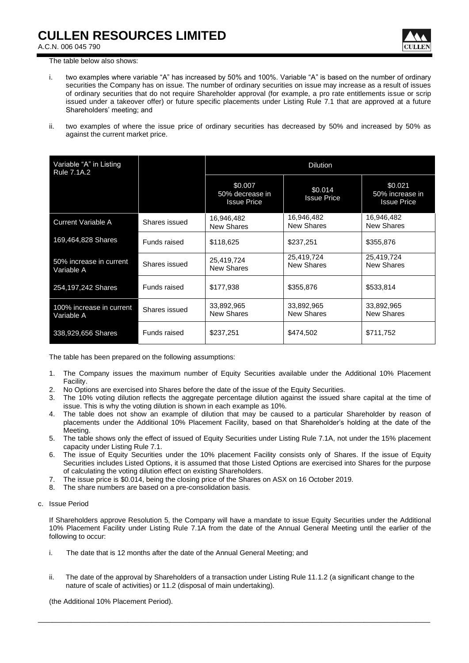

A.C.N. 006 045 790

The table below also shows:

- i. two examples where variable "A" has increased by 50% and 100%. Variable "A" is based on the number of ordinary securities the Company has on issue. The number of ordinary securities on issue may increase as a result of issues of ordinary securities that do not require Shareholder approval (for example, a pro rate entitlements issue or scrip issued under a takeover offer) or future specific placements under Listing Rule 7.1 that are approved at a future Shareholders' meeting; and
- ii. two examples of where the issue price of ordinary securities has decreased by 50% and increased by 50% as against the current market price.

| Variable "A" in Listing<br>Rule 7.1A.2 |               | <b>Dilution</b>                                  |                               |                                                  |
|----------------------------------------|---------------|--------------------------------------------------|-------------------------------|--------------------------------------------------|
|                                        |               | \$0.007<br>50% decrease in<br><b>Issue Price</b> | \$0.014<br><b>Issue Price</b> | \$0.021<br>50% increase in<br><b>Issue Price</b> |
| <b>Current Variable A</b>              | Shares issued | 16,946,482<br><b>New Shares</b>                  | 16,946,482<br>New Shares      | 16,946,482<br><b>New Shares</b>                  |
| 169,464,828 Shares                     | Funds raised  | \$118,625                                        | \$237,251                     | \$355,876                                        |
| 50% increase in current<br>Variable A  | Shares issued | 25,419,724<br><b>New Shares</b>                  | 25,419,724<br>New Shares      | 25,419,724<br>New Shares                         |
| 254,197,242 Shares                     | Funds raised  | \$177,938                                        | \$355,876                     | \$533,814                                        |
| 100% increase in current<br>Variable A | Shares issued | 33,892,965<br><b>New Shares</b>                  | 33,892,965<br>New Shares      | 33,892,965<br><b>New Shares</b>                  |
| 338,929,656 Shares                     | Funds raised  | \$237,251                                        | \$474,502                     | \$711,752                                        |

The table has been prepared on the following assumptions:

- 1. The Company issues the maximum number of Equity Securities available under the Additional 10% Placement Facility.
- 2. No Options are exercised into Shares before the date of the issue of the Equity Securities.
- 3. The 10% voting dilution reflects the aggregate percentage dilution against the issued share capital at the time of issue. This is why the voting dilution is shown in each example as 10%.
- 4. The table does not show an example of dilution that may be caused to a particular Shareholder by reason of placements under the Additional 10% Placement Facility, based on that Shareholder's holding at the date of the Meeting.
- 5. The table shows only the effect of issued of Equity Securities under Listing Rule 7.1A, not under the 15% placement capacity under Listing Rule 7.1.
- 6. The issue of Equity Securities under the 10% placement Facility consists only of Shares. If the issue of Equity Securities includes Listed Options, it is assumed that those Listed Options are exercised into Shares for the purpose of calculating the voting dilution effect on existing Shareholders.
- 7. The issue price is \$0.014, being the closing price of the Shares on ASX on 16 October 2019.
- 8. The share numbers are based on a pre-consolidation basis.
- c. Issue Period

If Shareholders approve Resolution 5, the Company will have a mandate to issue Equity Securities under the Additional 10% Placement Facility under Listing Rule 7.1A from the date of the Annual General Meeting until the earlier of the following to occur:

- i. The date that is 12 months after the date of the Annual General Meeting; and
- ii. The date of the approval by Shareholders of a transaction under Listing Rule 11.1.2 (a significant change to the nature of scale of activities) or 11.2 (disposal of main undertaking).

\_\_\_\_\_\_\_\_\_\_\_\_\_\_\_\_\_\_\_\_\_\_\_\_\_\_\_\_\_\_\_\_\_\_\_\_\_\_\_\_\_\_\_\_\_\_\_\_\_\_\_\_\_\_\_\_\_\_\_\_\_\_\_\_\_\_\_\_\_\_\_\_\_\_\_\_\_\_\_\_\_\_\_

(the Additional 10% Placement Period).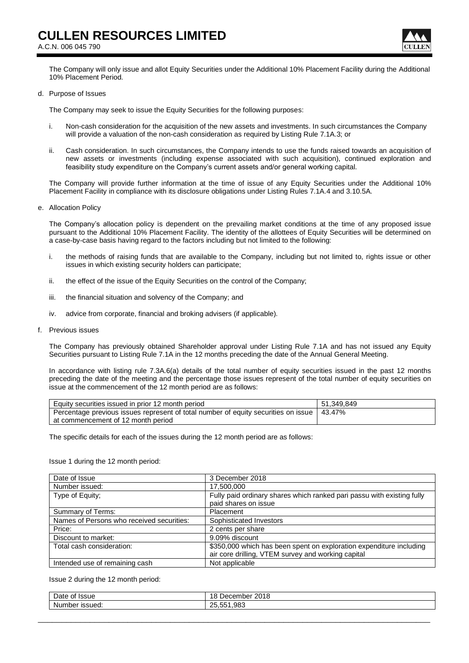

The Company will only issue and allot Equity Securities under the Additional 10% Placement Facility during the Additional 10% Placement Period.

#### d. Purpose of Issues

The Company may seek to issue the Equity Securities for the following purposes:

- i. Non-cash consideration for the acquisition of the new assets and investments. In such circumstances the Company will provide a valuation of the non-cash consideration as required by Listing Rule 7.1A.3; or
- ii. Cash consideration. In such circumstances, the Company intends to use the funds raised towards an acquisition of new assets or investments (including expense associated with such acquisition), continued exploration and feasibility study expenditure on the Company's current assets and/or general working capital.

The Company will provide further information at the time of issue of any Equity Securities under the Additional 10% Placement Facility in compliance with its disclosure obligations under Listing Rules 7.1A.4 and 3.10.5A.

e. Allocation Policy

The Company's allocation policy is dependent on the prevailing market conditions at the time of any proposed issue pursuant to the Additional 10% Placement Facility. The identity of the allottees of Equity Securities will be determined on a case-by-case basis having regard to the factors including but not limited to the following:

- i. the methods of raising funds that are available to the Company, including but not limited to, rights issue or other issues in which existing security holders can participate;
- ii. the effect of the issue of the Equity Securities on the control of the Company;
- iii. the financial situation and solvency of the Company; and
- iv. advice from corporate, financial and broking advisers (if applicable).
- f. Previous issues

The Company has previously obtained Shareholder approval under Listing Rule 7.1A and has not issued any Equity Securities pursuant to Listing Rule 7.1A in the 12 months preceding the date of the Annual General Meeting.

In accordance with listing rule 7.3A.6(a) details of the total number of equity securities issued in the past 12 months preceding the date of the meeting and the percentage those issues represent of the total number of equity securities on issue at the commencement of the 12 month period are as follows:

| Equity securities issued in prior 12 month period                                           | 51.349.849 |
|---------------------------------------------------------------------------------------------|------------|
| Percentage previous issues represent of total number of equity securities on issue   43.47% |            |
| at commencement of 12 month period                                                          |            |

The specific details for each of the issues during the 12 month period are as follows:

Issue 1 during the 12 month period:

| Date of Issue                             | 3 December 2018                                                        |  |  |
|-------------------------------------------|------------------------------------------------------------------------|--|--|
| Number issued:                            | 17,500,000                                                             |  |  |
| Type of Equity;                           | Fully paid ordinary shares which ranked pari passu with existing fully |  |  |
|                                           | paid shares on issue                                                   |  |  |
| Summary of Terms:                         | Placement                                                              |  |  |
| Names of Persons who received securities: | Sophisticated Investors                                                |  |  |
| Price:                                    | 2 cents per share                                                      |  |  |
| Discount to market:                       | 9.09% discount                                                         |  |  |
| Total cash consideration:                 | \$350,000 which has been spent on exploration expenditure including    |  |  |
|                                           | air core drilling, VTEM survey and working capital                     |  |  |
| Intended use of remaining cash            | Not applicable                                                         |  |  |

Issue 2 during the 12 month period:

| -<br>ا Jate<br>∵Issue<br>ΩT | $\triangle$<br>.001c<br>December<br>o<br>10<br>ZU |
|-----------------------------|---------------------------------------------------|
| Number<br>ussued:           | --<br>.983<br>っに<br><u>_</u>                      |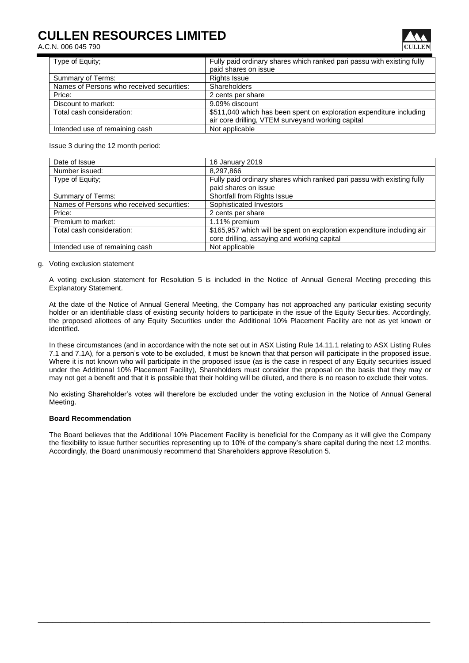# **CULLEN RESOURCES LIMITED**

A.C.N. 006 045 790



| Type of Equity;                           | Fully paid ordinary shares which ranked pari passu with existing fully |
|-------------------------------------------|------------------------------------------------------------------------|
|                                           | paid shares on issue                                                   |
| Summary of Terms:                         | <b>Rights Issue</b>                                                    |
| Names of Persons who received securities: | Shareholders                                                           |
| Price:                                    | 2 cents per share                                                      |
| Discount to market:                       | 9.09% discount                                                         |
| Total cash consideration:                 | \$511,040 which has been spent on exploration expenditure including    |
|                                           | air core drilling, VTEM surveyand working capital                      |
| Intended use of remaining cash            | Not applicable                                                         |

Issue 3 during the 12 month period:

| Date of Issue                             | 16 January 2019                                                        |
|-------------------------------------------|------------------------------------------------------------------------|
| Number issued:                            | 8,297,866                                                              |
| Type of Equity:                           | Fully paid ordinary shares which ranked pari passu with existing fully |
|                                           | paid shares on issue                                                   |
| Summary of Terms:                         | Shortfall from Rights Issue                                            |
| Names of Persons who received securities: | Sophisticated Investors                                                |
| Price:                                    | 2 cents per share                                                      |
| Premium to market:                        | 1.11% premium                                                          |
| Total cash consideration:                 | \$165,957 which will be spent on exploration expenditure including air |
|                                           | core drilling, assaying and working capital                            |
| Intended use of remaining cash            | Not applicable                                                         |

#### g. Voting exclusion statement

A voting exclusion statement for Resolution 5 is included in the Notice of Annual General Meeting preceding this Explanatory Statement.

At the date of the Notice of Annual General Meeting, the Company has not approached any particular existing security holder or an identifiable class of existing security holders to participate in the issue of the Equity Securities. Accordingly, the proposed allottees of any Equity Securities under the Additional 10% Placement Facility are not as yet known or identified.

In these circumstances (and in accordance with the note set out in ASX Listing Rule 14.11.1 relating to ASX Listing Rules 7.1 and 7.1A), for a person's vote to be excluded, it must be known that that person will participate in the proposed issue. Where it is not known who will participate in the proposed issue (as is the case in respect of any Equity securities issued under the Additional 10% Placement Facility), Shareholders must consider the proposal on the basis that they may or may not get a benefit and that it is possible that their holding will be diluted, and there is no reason to exclude their votes.

No existing Shareholder's votes will therefore be excluded under the voting exclusion in the Notice of Annual General Meeting.

#### **Board Recommendation**

The Board believes that the Additional 10% Placement Facility is beneficial for the Company as it will give the Company the flexibility to issue further securities representing up to 10% of the company's share capital during the next 12 months. Accordingly, the Board unanimously recommend that Shareholders approve Resolution 5.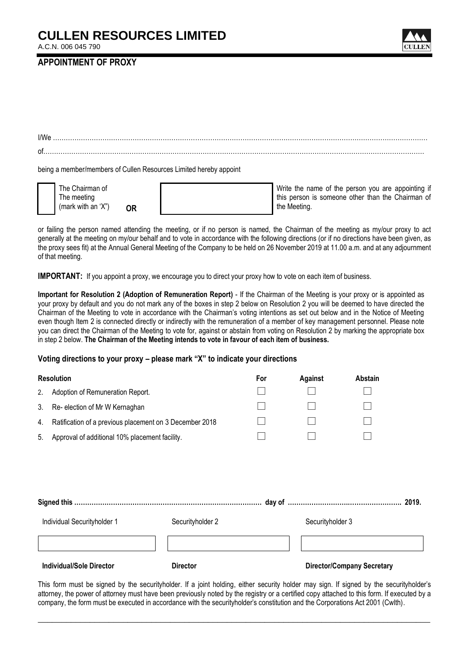## **CULLEN RESOURCES LIMITED**

A.C.N. 006 045 790



### **APPOINTMENT OF PROXY**

| I/We                                                              |
|-------------------------------------------------------------------|
| of                                                                |
|                                                                   |
| being a member/members of Cullen Resources Limited hereby appoint |



| The Chairman of    |    |  |
|--------------------|----|--|
| The meeting        |    |  |
| (mark with an 'X") | OR |  |

Write the name of the person you are appointing if this person is someone other than the Chairman of the Meeting.

or failing the person named attending the meeting, or if no person is named, the Chairman of the meeting as my/our proxy to act generally at the meeting on my/our behalf and to vote in accordance with the following directions (or if no directions have been given, as the proxy sees fit) at the Annual General Meeting of the Company to be held on 26 November 2019 at 11.00 a.m. and at any adjournment of that meeting.

**IMPORTANT:** If you appoint a proxy, we encourage you to direct your proxy how to vote on each item of business.

**Important for Resolution 2 (Adoption of Remuneration Report)** - If the Chairman of the Meeting is your proxy or is appointed as your proxy by default and you do not mark any of the boxes in step 2 below on Resolution 2 you will be deemed to have directed the Chairman of the Meeting to vote in accordance with the Chairman's voting intentions as set out below and in the Notice of Meeting even though Item 2 is connected directly or indirectly with the remuneration of a member of key management personnel. Please note you can direct the Chairman of the Meeting to vote for, against or abstain from voting on Resolution 2 by marking the appropriate box in step 2 below. **The Chairman of the Meeting intends to vote in favour of each item of business.**

## **Voting directions to your proxy – please mark "X" to indicate your directions**

|    | <b>Resolution</b>                                       |                  | For | Against          | Abstain                           |  |
|----|---------------------------------------------------------|------------------|-----|------------------|-----------------------------------|--|
| 2. | Adoption of Remuneration Report.                        |                  |     |                  |                                   |  |
| 3. | Re- election of Mr W Kernaghan                          |                  |     |                  |                                   |  |
| 4. | Ratification of a previous placement on 3 December 2018 |                  |     |                  |                                   |  |
| 5. | Approval of additional 10% placement facility.          |                  |     |                  |                                   |  |
|    |                                                         |                  |     |                  |                                   |  |
|    |                                                         |                  |     |                  |                                   |  |
|    |                                                         |                  |     |                  |                                   |  |
|    | Individual Securityholder 1                             | Securityholder 2 |     | Securityholder 3 |                                   |  |
|    |                                                         |                  |     |                  |                                   |  |
|    | <b>Individual/Sole Director</b>                         | <b>Director</b>  |     |                  | <b>Director/Company Secretary</b> |  |

This form must be signed by the securityholder. If a joint holding, either security holder may sign. If signed by the securityholder's attorney, the power of attorney must have been previously noted by the registry or a certified copy attached to this form. If executed by a company, the form must be executed in accordance with the securityholder's constitution and the Corporations Act 2001 (Cwlth).